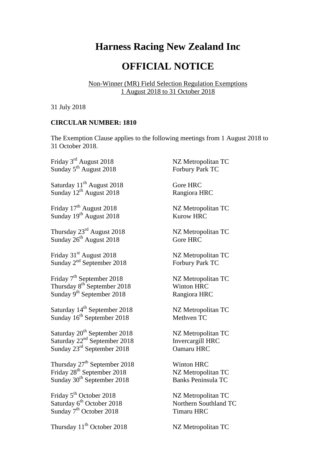## **Harness Racing New Zealand Inc**

## **OFFICIAL NOTICE**

Non-Winner (MR) Field Selection Regulation Exemptions 1 August 2018 to 31 October 2018

31 July 2018

## **CIRCULAR NUMBER: 1810**

The Exemption Clause applies to the following meetings from 1 August 2018 to 31 October 2018.

Friday 3<sup>rd</sup> August 2018 NZ Metropolitan TC Sunday 5<sup>th</sup> August 2018 Forbury Park TC

 $S$ aturday  $11<sup>th</sup>$  August 2018 Gore HRC Sunday 12<sup>th</sup> August 2018 Rangiora HRC

Friday 17<sup>th</sup> August 2018 Sunday 19<sup>th</sup> August 2018 Kurow HRC

Thursday 23<sup>rd</sup> August Sunday  $26^{th}$  August 2018 Gore HRC

Friday 31<sup>st</sup> August 2018 NZ Metropolitan TC Sunday 2<sup>nd</sup> September 2018 Forbury Park TC

Friday 7<sup>th</sup> September 2018 NZ Metropolitan TC Thursday 8<sup>th</sup> September 2018 Winton HRC Sunday  $9^{th}$  September 2018 Rangiora HRC

Saturday 14<sup>th</sup> September 2018 NZ Metropolitan TC Sunday  $16^{th}$  September 2018 Methven TC

Saturday 20<sup>th</sup> September 2018 NZ Metropolitan TC Saturday  $22<sup>nd</sup>$  September 2018 Invercargill HRC Sunday 23 rd September 2018 Oamaru HRC

Thursday  $27<sup>th</sup>$  September 2018 Winton HRC Friday 28<sup>th</sup> September 2018 NZ Metropolitan TC Sunday 30<sup>th</sup> September 2018 Banks Peninsula TC

Friday 5<sup>th</sup> October 2018 NZ Metropolitan TC Saturday 6<sup>th</sup> Octobe Sunday  $7<sup>th</sup>$  October 2018 Timaru HRC

Thursday 11<sup>th</sup> October 2018 NZ Metropolitan TC

NZ Metropolitan TC

NZ Metropolitan TC

Northern Southland TC